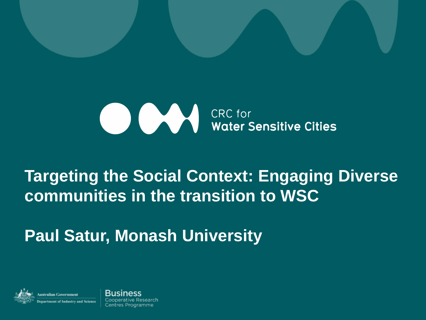

#### **Targeting the Social Context: Engaging Diverse communities in the transition to WSC**

**Paul Satur, Monash University**



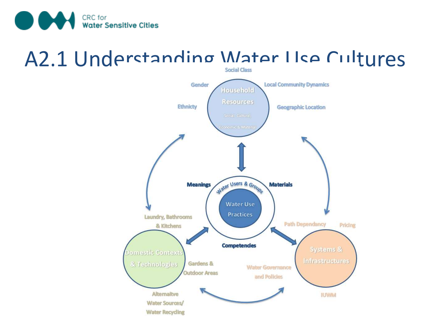

### A2.1 Understanding Water I Ise Cultures

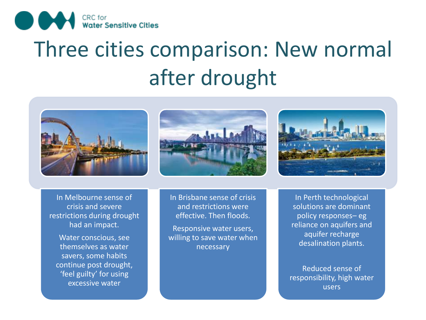

## Three cities comparison: New normal after drought







In Melbourne sense of crisis and severe restrictions during drought had an impact.

Water conscious, see themselves as water savers, some habits continue post drought, 'feel guilty' for using excessive water

In Brisbane sense of crisis and restrictions were effective. Then floods.

Responsive water users, willing to save water when necessary

In Perth technological solutions are dominant policy responses– eg reliance on aquifers and aquifer recharge desalination plants.

Reduced sense of responsibility, high water users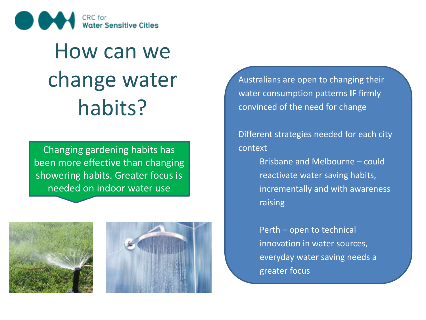

## How can we change water habits?

Changing gardening habits has been more effective than changing showering habits. Greater focus is needed on indoor water use





Australians are open to changing their water consumption patterns **IF** firmly convinced of the need for change

Different strategies needed for each city context

> Brisbane and Melbourne – could reactivate water saving habits, incrementally and with awareness raising

Perth – open to technical innovation in water sources, everyday water saving needs a greater focus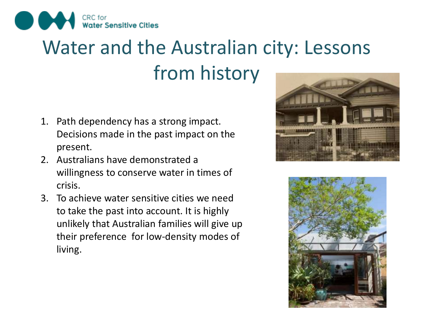

### Water and the Australian city: Lessons from history

- 1. Path dependency has a strong impact. Decisions made in the past impact on the present.
- 2. Australians have demonstrated a willingness to conserve water in times of crisis.
- 3. To achieve water sensitive cities we need to take the past into account. It is highly unlikely that Australian families will give up their preference for low-density modes of living.



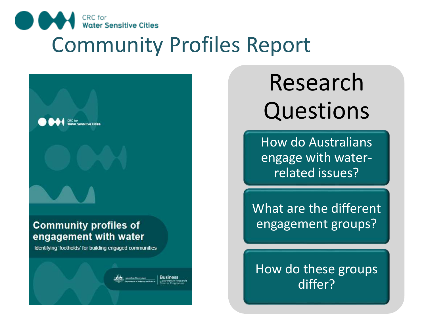

### Community Profiles Report



# Research Questions

How do Australians engage with waterrelated issues?

What are the different engagement groups?

How do these groups differ?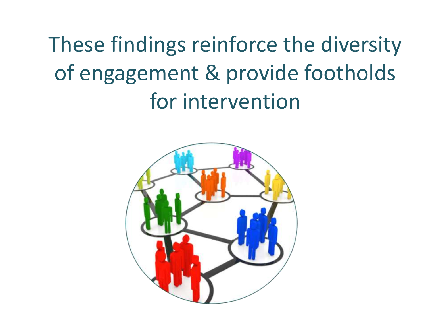These findings reinforce the diversity of engagement & provide footholds for intervention

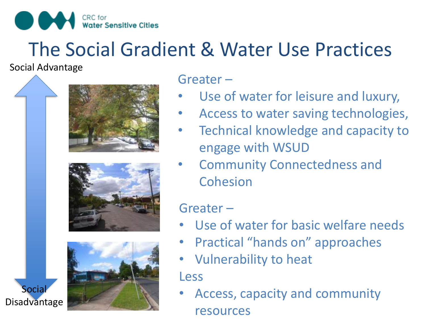

#### The Social Gradient & Water Use Practices

Social Advantage

Social







Greater –

- Use of water for leisure and luxury,
- Access to water saving technologies,
- Technical knowledge and capacity to engage with WSUD
- Community Connectedness and **Cohesion**

Greater –

- Use of water for basic welfare needs
- Practical "hands on" approaches
- Vulnerability to heat

Less

• Access, capacity and community resources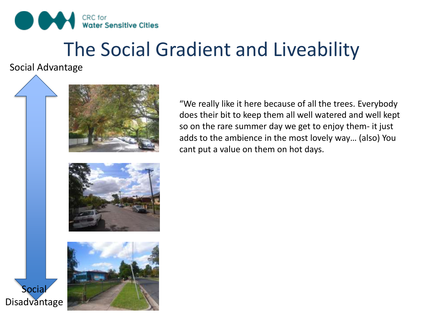

#### The Social Gradient and Liveability

Social Advantage



"We really like it here because of all the trees. Everybody does their bit to keep them all well watered and well kept so on the rare summer day we get to enjoy them- it just adds to the ambience in the most lovely way… (also) You cant put a value on them on hot days.

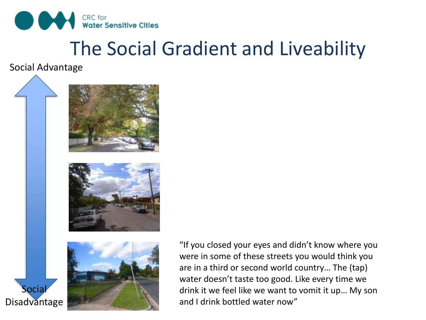

#### The Social Gradient and Liveability

Social Advantage

**Socia** 







"If you closed your eyes and didn't know where you were in some of these streets you would think you are in a third or second world country… The (tap) water doesn't taste too good. Like every time we drink it we feel like we want to vomit it up… My son and I drink bottled water now"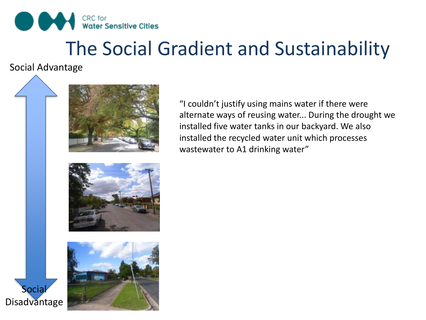

### The Social Gradient and Sustainability

Social Advantage

Socia



"I couldn't justify using mains water if there were alternate ways of reusing water... During the drought we installed five water tanks in our backyard. We also installed the recycled water unit which processes wastewater to A1 drinking water"

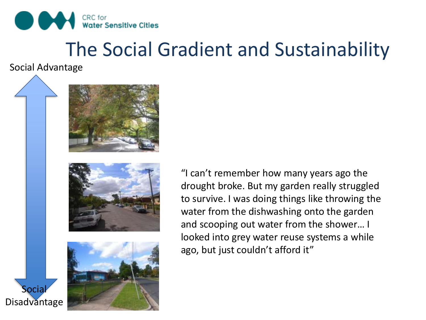

### The Social Gradient and Sustainability

Social Advantage

Socia

Disadvantage







"I can't remember how many years ago the drought broke. But my garden really struggled to survive. I was doing things like throwing the water from the dishwashing onto the garden and scooping out water from the shower… I looked into grey water reuse systems a while ago, but just couldn't afford it"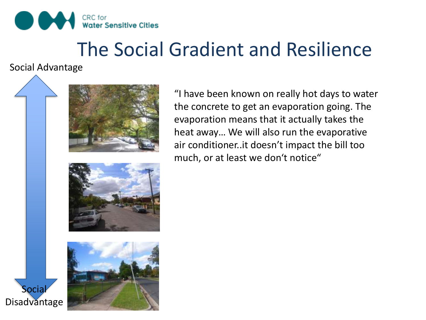

#### The Social Gradient and Resilience

Social Advantage

Socia

Disadvantage



"I have been known on really hot days to water the concrete to get an evaporation going. The evaporation means that it actually takes the heat away… We will also run the evaporative air conditioner..it doesn't impact the bill too much, or at least we don't notice"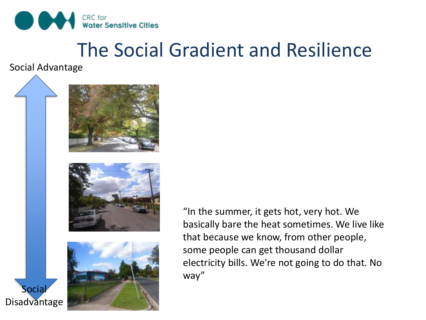

#### The Social Gradient and Resilience

Social Advantage

Socia







"In the summer, it gets hot, very hot. We basically bare the heat sometimes. We live like that because we know, from other people, some people can get thousand dollar electricity bills. We're not going to do that. No way"